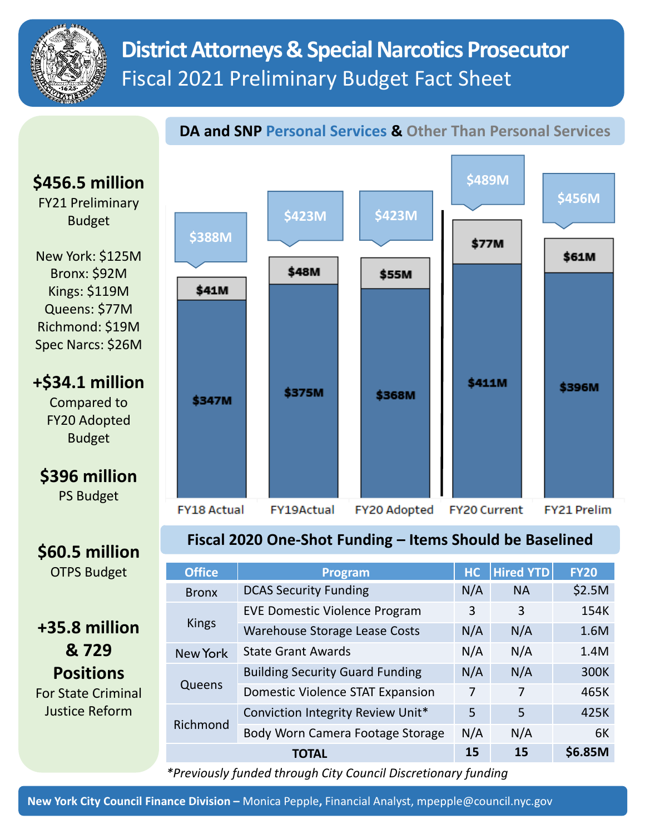

# **District Attorneys & Special Narcotics Prosecutor**  Fiscal 2021 Preliminary Budget Fact Sheet

## **DA and SNP Personal Services & Other Than Personal Services**



| +35.8 million             |  |  |  |  |
|---------------------------|--|--|--|--|
| & 729                     |  |  |  |  |
| <b>Positions</b>          |  |  |  |  |
| <b>For State Criminal</b> |  |  |  |  |
| Justice Reform            |  |  |  |  |

| <b>Office</b> | Program                                 | HC  | <b>Hired YTD</b> | <b>FY20</b> |
|---------------|-----------------------------------------|-----|------------------|-------------|
| <b>Bronx</b>  | <b>DCAS Security Funding</b>            | N/A | <b>NA</b>        | \$2.5M      |
| <b>Kings</b>  | <b>EVE Domestic Violence Program</b>    | 3   | 3                | 154K        |
|               | <b>Warehouse Storage Lease Costs</b>    | N/A | N/A              | 1.6M        |
| New York      | <b>State Grant Awards</b>               | N/A | N/A              | 1.4M        |
| Queens        | <b>Building Security Guard Funding</b>  | N/A | N/A              | 300K        |
|               | <b>Domestic Violence STAT Expansion</b> | 7   | 7                | 465K        |
| Richmond      | Conviction Integrity Review Unit*       | 5   | 5                | 425K        |
|               | Body Worn Camera Footage Storage        | N/A | N/A              | 6K          |
| TOTAL         |                                         | 15  | 15               | \$6.85M     |

*\*Previously funded through City Council Discretionary funding*